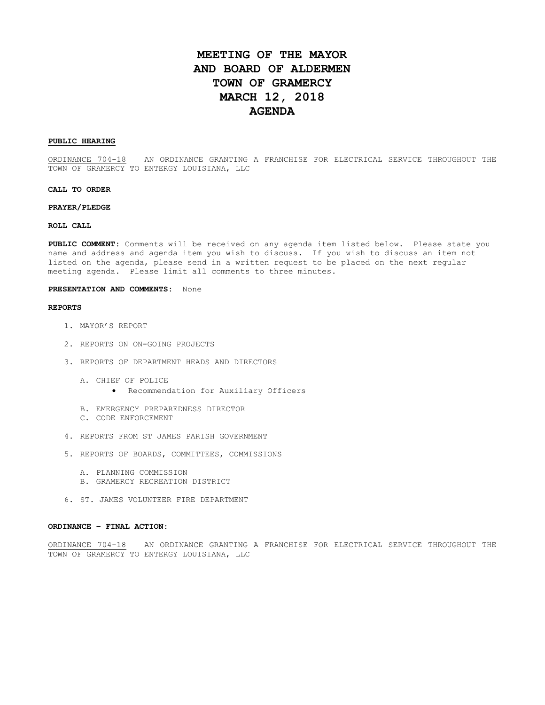# **MEETING OF THE MAYOR AND BOARD OF ALDERMEN TOWN OF GRAMERCY MARCH 12, 2018 AGENDA**

## **PUBLIC HEARING**

ORDINANCE 704-18 AN ORDINANCE GRANTING A FRANCHISE FOR ELECTRICAL SERVICE THROUGHOUT THE TOWN OF GRAMERCY TO ENTERGY LOUISIANA, LLC

### **CALL TO ORDER**

#### **PRAYER/PLEDGE**

## **ROLL CALL**

**PUBLIC COMMENT:** Comments will be received on any agenda item listed below. Please state you name and address and agenda item you wish to discuss. If you wish to discuss an item not listed on the agenda, please send in a written request to be placed on the next regular meeting agenda. Please limit all comments to three minutes.

#### **PRESENTATION AND COMMENTS:** None

#### **REPORTS**

- 1. MAYOR'S REPORT
- 2. REPORTS ON ON-GOING PROJECTS
- 3. REPORTS OF DEPARTMENT HEADS AND DIRECTORS
	- A. CHIEF OF POLICE
		- Recommendation for Auxiliary Officers
	- B. EMERGENCY PREPAREDNESS DIRECTOR
	- C. CODE ENFORCEMENT
- 4. REPORTS FROM ST JAMES PARISH GOVERNMENT
- 5. REPORTS OF BOARDS, COMMITTEES, COMMISSIONS
	- A. PLANNING COMMISSION
	- B. GRAMERCY RECREATION DISTRICT
- 6. ST. JAMES VOLUNTEER FIRE DEPARTMENT

## **ORDINANCE – FINAL ACTION:**

ORDINANCE 704-18 AN ORDINANCE GRANTING A FRANCHISE FOR ELECTRICAL SERVICE THROUGHOUT THE TOWN OF GRAMERCY TO ENTERGY LOUISIANA, LLC